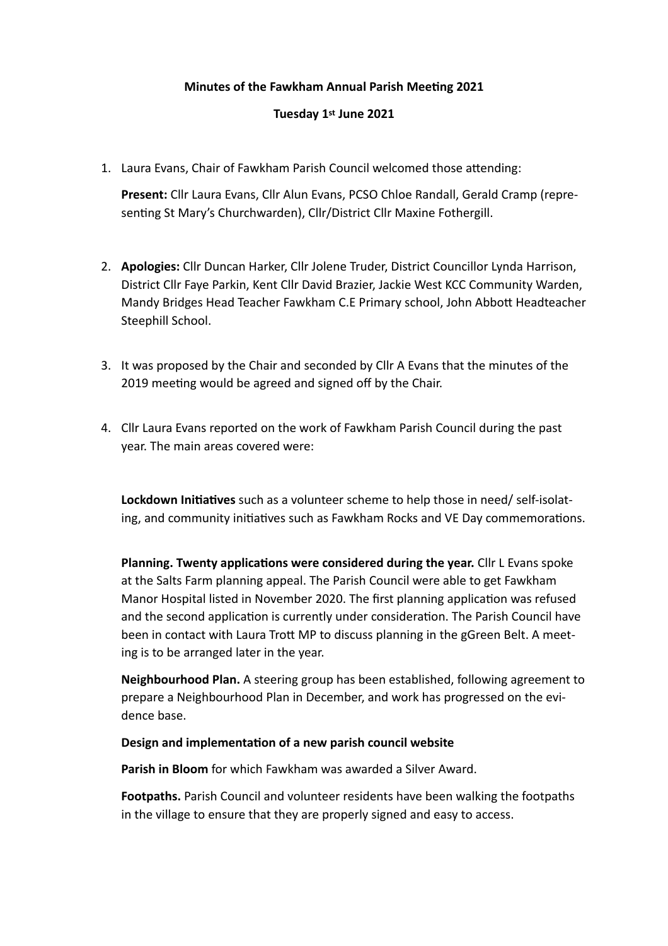# **Minutes of the Fawkham Annual Parish Meeting 2021**

# **Tuesday 1st June 2021**

1. Laura Evans, Chair of Fawkham Parish Council welcomed those attending:

**Present:** Cllr Laura Evans, Cllr Alun Evans, PCSO Chloe Randall, Gerald Cramp (representing St Mary's Churchwarden), Cllr/District Cllr Maxine Fothergill.

- 2. **Apologies:** Cllr Duncan Harker, Cllr Jolene Truder, District Councillor Lynda Harrison, District Cllr Faye Parkin, Kent Cllr David Brazier, Jackie West KCC Community Warden, Mandy Bridges Head Teacher Fawkham C.E Primary school, John Abbott Headteacher Steephill School.
- 3. It was proposed by the Chair and seconded by Cllr A Evans that the minutes of the 2019 meeting would be agreed and signed off by the Chair.
- 4. Cllr Laura Evans reported on the work of Fawkham Parish Council during the past year. The main areas covered were:

Lockdown Initiatives such as a volunteer scheme to help those in need/ self-isolating, and community initiatives such as Fawkham Rocks and VE Day commemorations.

**Planning. Twenty applications were considered during the year.** Cllr L Evans spoke at the Salts Farm planning appeal. The Parish Council were able to get Fawkham Manor Hospital listed in November 2020. The first planning application was refused and the second application is currently under consideration. The Parish Council have been in contact with Laura Trott MP to discuss planning in the gGreen Belt. A meeting is to be arranged later in the year.

**Neighbourhood Plan.** A steering group has been established, following agreement to prepare a Neighbourhood Plan in December, and work has progressed on the evidence base.

## **Design and implementation of a new parish council website**

**Parish in Bloom** for which Fawkham was awarded a Silver Award.

**Footpaths.** Parish Council and volunteer residents have been walking the footpaths in the village to ensure that they are properly signed and easy to access.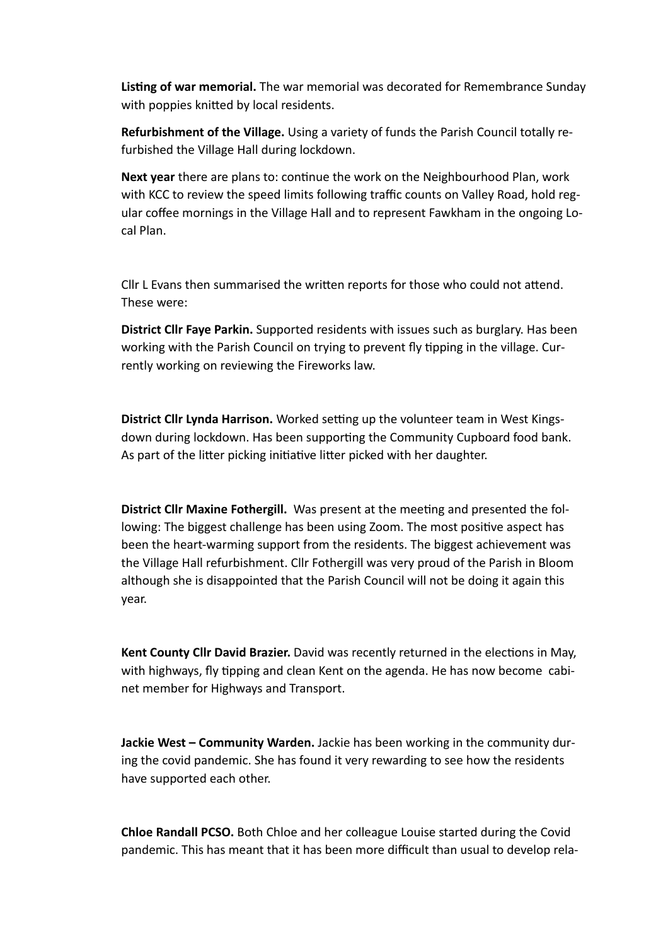**Listing of war memorial.** The war memorial was decorated for Remembrance Sunday with poppies knitted by local residents.

**Refurbishment of the Village.** Using a variety of funds the Parish Council totally refurbished the Village Hall during lockdown.

**Next year** there are plans to: continue the work on the Neighbourhood Plan, work with KCC to review the speed limits following traffic counts on Valley Road, hold regular coffee mornings in the Village Hall and to represent Fawkham in the ongoing Local Plan.

Cllr L Evans then summarised the written reports for those who could not attend. These were:

**District Cllr Faye Parkin.** Supported residents with issues such as burglary. Has been working with the Parish Council on trying to prevent fly tipping in the village. Currently working on reviewing the Fireworks law.

**District Cllr Lynda Harrison.** Worked setting up the volunteer team in West Kingsdown during lockdown. Has been supporting the Community Cupboard food bank. As part of the litter picking initiative litter picked with her daughter.

**District Cllr Maxine Fothergill.** Was present at the meeting and presented the following: The biggest challenge has been using Zoom. The most positive aspect has been the heart-warming support from the residents. The biggest achievement was the Village Hall refurbishment. Cllr Fothergill was very proud of the Parish in Bloom although she is disappointed that the Parish Council will not be doing it again this year.

**Kent County Cllr David Brazier.** David was recently returned in the elections in May, with highways, fly tipping and clean Kent on the agenda. He has now become cabinet member for Highways and Transport.

**Jackie West – Community Warden.** Jackie has been working in the community during the covid pandemic. She has found it very rewarding to see how the residents have supported each other.

**Chloe Randall PCSO.** Both Chloe and her colleague Louise started during the Covid pandemic. This has meant that it has been more difficult than usual to develop rela